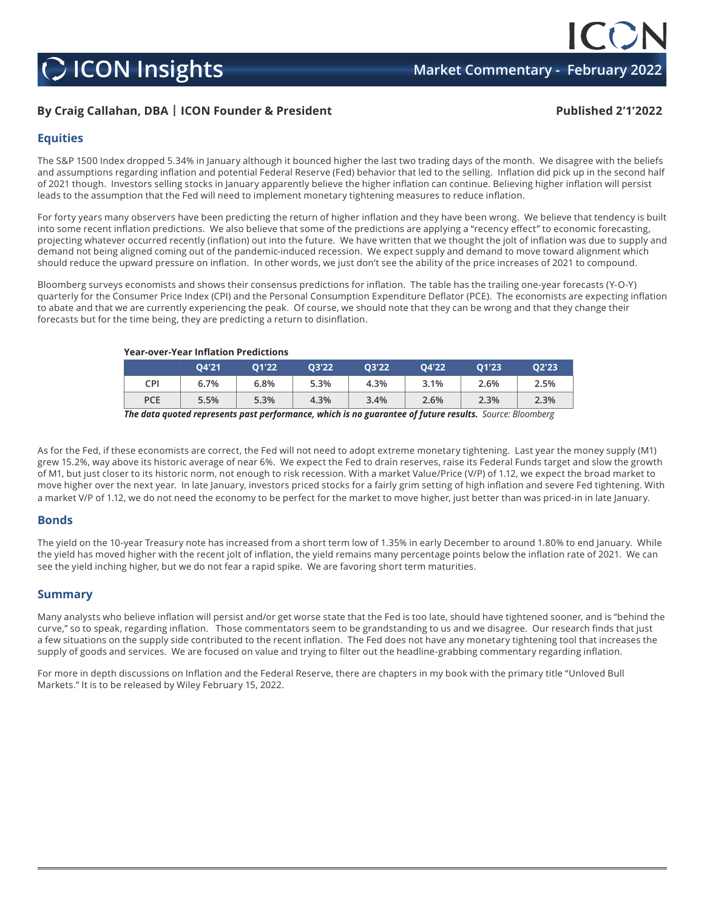## **C** ICON Insights **Market Commentary - February 2022**

### **By Craig Callahan, DBA | ICON Founder & President Published 2'1'2022**

#### **Equities**

The S&P 1500 Index dropped 5.34% in January although it bounced higher the last two trading days of the month. We disagree with the beliefs and assumptions regarding inflation and potential Federal Reserve (Fed) behavior that led to the selling. Inflation did pick up in the second half of 2021 though. Investors selling stocks in January apparently believe the higher inflation can continue. Believing higher inflation will persist leads to the assumption that the Fed will need to implement monetary tightening measures to reduce inflation.

For forty years many observers have been predicting the return of higher inflation and they have been wrong. We believe that tendency is built into some recent inflation predictions. We also believe that some of the predictions are applying a "recency effect" to economic forecasting, projecting whatever occurred recently (inflation) out into the future. We have written that we thought the jolt of inflation was due to supply and demand not being aligned coming out of the pandemic-induced recession. We expect supply and demand to move toward alignment which should reduce the upward pressure on inflation. In other words, we just don't see the ability of the price increases of 2021 to compound.

Bloomberg surveys economists and shows their consensus predictions for inflation. The table has the trailing one-year forecasts (Y-O-Y) quarterly for the Consumer Price Index (CPI) and the Personal Consumption Expenditure Deflator (PCE). The economists are expecting inflation to abate and that we are currently experiencing the peak. Of course, we should note that they can be wrong and that they change their forecasts but for the time being, they are predicting a return to disinflation.

**Year-over-Year Inflation Predictions**

|            | 04'21 | 01'22 | 03'22 | 03'22 | 04'22 | 01'23 | 02'23 |
|------------|-------|-------|-------|-------|-------|-------|-------|
| CPI        | 6.7%  | 6.8%  | 5.3%  | 4.3%  | 3.1%  | 2.6%  | 2.5%  |
| <b>PCE</b> | 5.5%  | 5.3%  | 4.3%  | 3.4%  | 2.6%  | 2.3%  | 2.3%  |
|            |       |       |       |       |       |       |       |

*The data quoted represents past performance, which is no guarantee of future results. Source: Bloomberg*

As for the Fed, if these economists are correct, the Fed will not need to adopt extreme monetary tightening. Last year the money supply (M1) grew 15.2%, way above its historic average of near 6%. We expect the Fed to drain reserves, raise its Federal Funds target and slow the growth of M1, but just closer to its historic norm, not enough to risk recession. With a market Value/Price (V/P) of 1.12, we expect the broad market to move higher over the next year. In late January, investors priced stocks for a fairly grim setting of high inflation and severe Fed tightening. With a market V/P of 1.12, we do not need the economy to be perfect for the market to move higher, just better than was priced-in in late January.

#### **Bonds**

The yield on the 10-year Treasury note has increased from a short term low of 1.35% in early December to around 1.80% to end January. While the yield has moved higher with the recent jolt of inflation, the yield remains many percentage points below the inflation rate of 2021. We can see the yield inching higher, but we do not fear a rapid spike. We are favoring short term maturities.

#### **Summary**

Many analysts who believe inflation will persist and/or get worse state that the Fed is too late, should have tightened sooner, and is "behind the curve," so to speak, regarding inflation. Those commentators seem to be grandstanding to us and we disagree. Our research finds that just a few situations on the supply side contributed to the recent inflation. The Fed does not have any monetary tightening tool that increases the supply of goods and services. We are focused on value and trying to filter out the headline-grabbing commentary regarding inflation.

For more in depth discussions on Inflation and the Federal Reserve, there are chapters in my book with the primary title "Unloved Bull Markets." It is to be released by Wiley February 15, 2022.